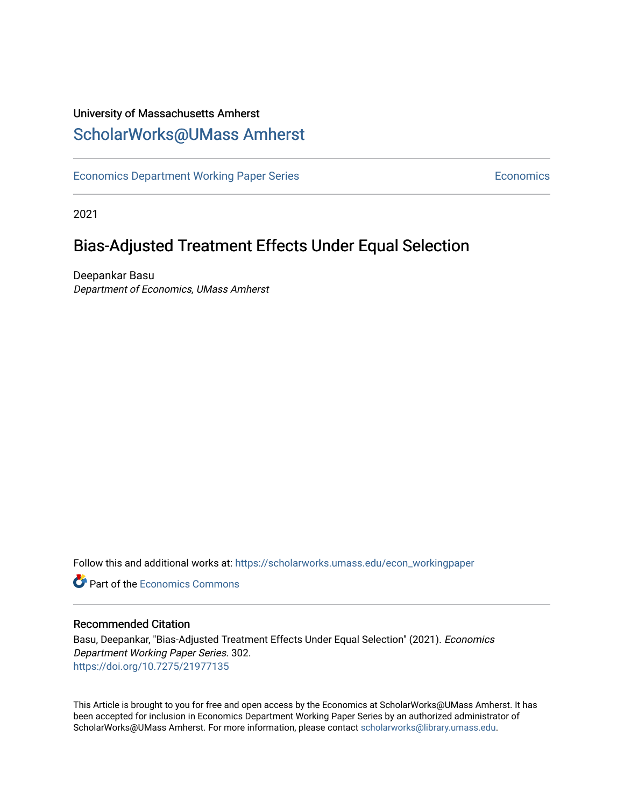# University of Massachusetts Amherst [ScholarWorks@UMass Amherst](https://scholarworks.umass.edu/)

[Economics Department Working Paper Series](https://scholarworks.umass.edu/econ_workingpaper) **Economics** Economics

2021

# Bias-Adjusted Treatment Effects Under Equal Selection

Deepankar Basu Department of Economics, UMass Amherst

Follow this and additional works at: [https://scholarworks.umass.edu/econ\\_workingpaper](https://scholarworks.umass.edu/econ_workingpaper?utm_source=scholarworks.umass.edu%2Fecon_workingpaper%2F302&utm_medium=PDF&utm_campaign=PDFCoverPages) 

**C** Part of the [Economics Commons](http://network.bepress.com/hgg/discipline/340?utm_source=scholarworks.umass.edu%2Fecon_workingpaper%2F302&utm_medium=PDF&utm_campaign=PDFCoverPages)

#### Recommended Citation

Basu, Deepankar, "Bias-Adjusted Treatment Effects Under Equal Selection" (2021). Economics Department Working Paper Series. 302. <https://doi.org/10.7275/21977135>

This Article is brought to you for free and open access by the Economics at ScholarWorks@UMass Amherst. It has been accepted for inclusion in Economics Department Working Paper Series by an authorized administrator of ScholarWorks@UMass Amherst. For more information, please contact [scholarworks@library.umass.edu.](mailto:scholarworks@library.umass.edu)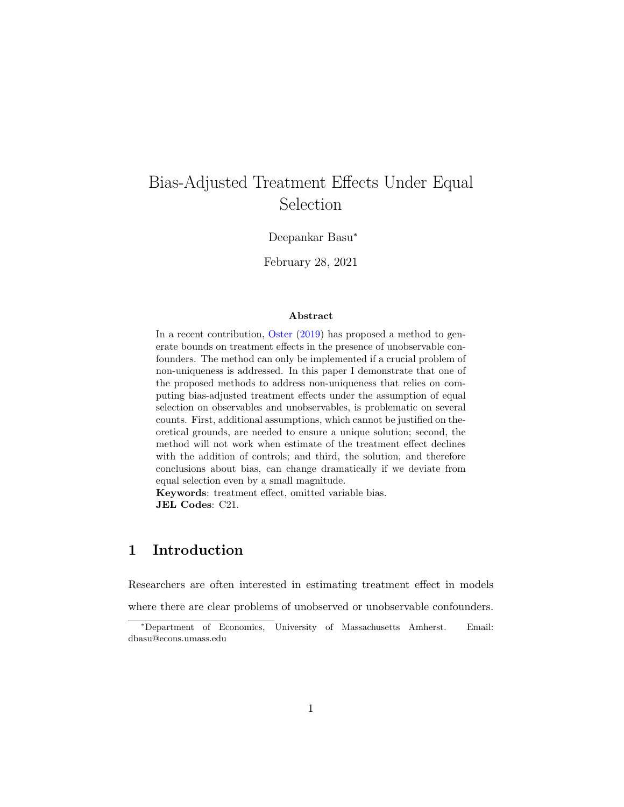# <span id="page-1-0"></span>Bias-Adjusted Treatment Effects Under Equal Selection

Deepankar Basu<sup>∗</sup>

February 28, 2021

#### Abstract

In a recent contribution, [Oster](#page-22-0)  $(2019)$  has proposed a method to generate bounds on treatment effects in the presence of unobservable confounders. The method can only be implemented if a crucial problem of non-uniqueness is addressed. In this paper I demonstrate that one of the proposed methods to address non-uniqueness that relies on computing bias-adjusted treatment effects under the assumption of equal selection on observables and unobservables, is problematic on several counts. First, additional assumptions, which cannot be justified on theoretical grounds, are needed to ensure a unique solution; second, the method will not work when estimate of the treatment effect declines with the addition of controls; and third, the solution, and therefore conclusions about bias, can change dramatically if we deviate from equal selection even by a small magnitude.

Keywords: treatment effect, omitted variable bias. JEL Codes: C21.

## 1 Introduction

Researchers are often interested in estimating treatment effect in models where there are clear problems of unobserved or unobservable confounders.

<sup>∗</sup>Department of Economics, University of Massachusetts Amherst. Email: dbasu@econs.umass.edu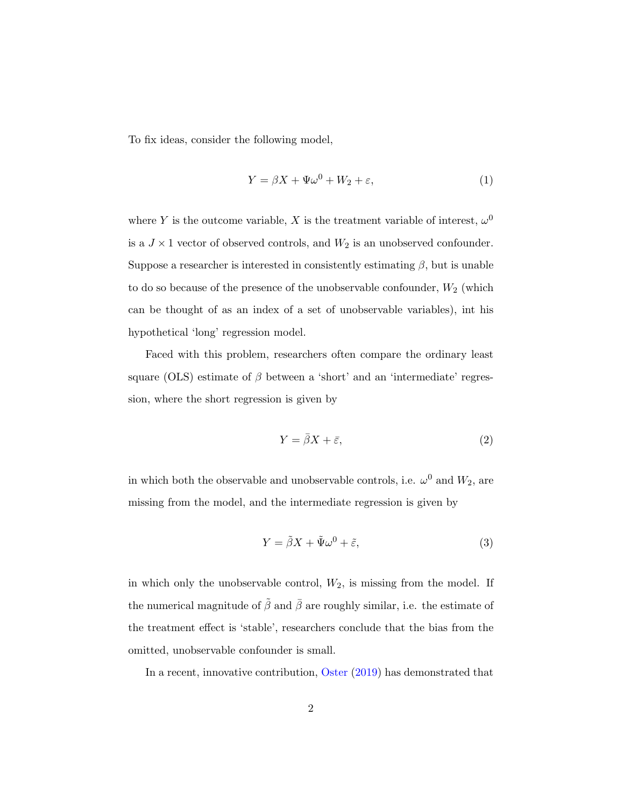To fix ideas, consider the following model,

$$
Y = \beta X + \Psi \omega^0 + W_2 + \varepsilon,\tag{1}
$$

where Y is the outcome variable, X is the treatment variable of interest,  $\omega^0$ is a  $J\times 1$  vector of observed controls, and  $W_2$  is an unobserved confounder. Suppose a researcher is interested in consistently estimating  $\beta$ , but is unable to do so because of the presence of the unobservable confounder,  $W_2$  (which can be thought of as an index of a set of unobservable variables), int his hypothetical 'long' regression model.

Faced with this problem, researchers often compare the ordinary least square (OLS) estimate of  $\beta$  between a 'short' and an 'intermediate' regression, where the short regression is given by

$$
Y = \bar{\beta}X + \bar{\varepsilon},\tag{2}
$$

in which both the observable and unobservable controls, i.e.  $\omega^0$  and  $W_2$ , are missing from the model, and the intermediate regression is given by

$$
Y = \tilde{\beta}X + \tilde{\Psi}\omega^0 + \tilde{\varepsilon},\tag{3}
$$

in which only the unobservable control,  $W_2$ , is missing from the model. If the numerical magnitude of  $\tilde{\beta}$  and  $\bar{\beta}$  are roughly similar, i.e. the estimate of the treatment effect is 'stable', researchers conclude that the bias from the omitted, unobservable confounder is small.

In a recent, innovative contribution, [Oster](#page-22-0) [\(2019\)](#page-22-0) has demonstrated that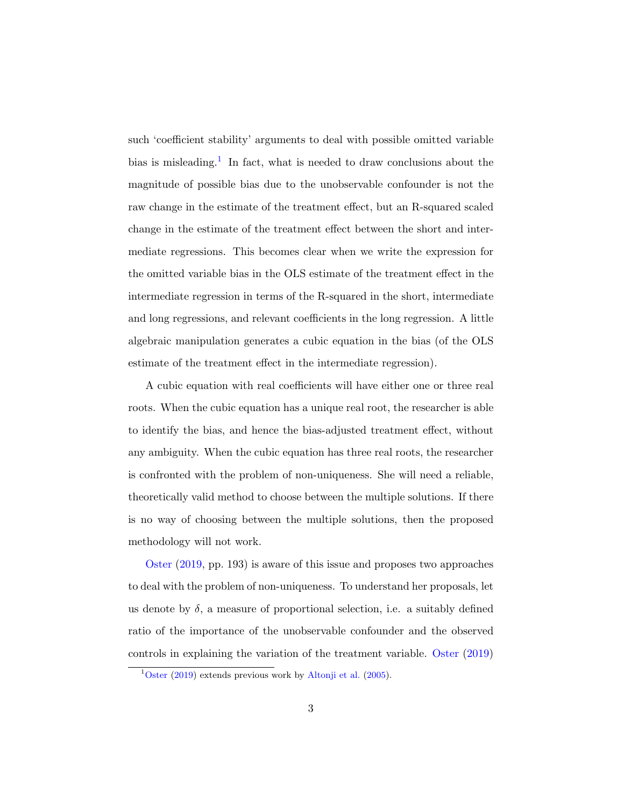such 'coefficient stability' arguments to deal with possible omitted variable bias is misleading.<sup>[1](#page-1-0)</sup> In fact, what is needed to draw conclusions about the magnitude of possible bias due to the unobservable confounder is not the raw change in the estimate of the treatment effect, but an R-squared scaled change in the estimate of the treatment effect between the short and intermediate regressions. This becomes clear when we write the expression for the omitted variable bias in the OLS estimate of the treatment effect in the intermediate regression in terms of the R-squared in the short, intermediate and long regressions, and relevant coefficients in the long regression. A little algebraic manipulation generates a cubic equation in the bias (of the OLS estimate of the treatment effect in the intermediate regression).

A cubic equation with real coefficients will have either one or three real roots. When the cubic equation has a unique real root, the researcher is able to identify the bias, and hence the bias-adjusted treatment effect, without any ambiguity. When the cubic equation has three real roots, the researcher is confronted with the problem of non-uniqueness. She will need a reliable, theoretically valid method to choose between the multiple solutions. If there is no way of choosing between the multiple solutions, then the proposed methodology will not work.

[Oster](#page-22-0) [\(2019,](#page-22-0) pp. 193) is aware of this issue and proposes two approaches to deal with the problem of non-uniqueness. To understand her proposals, let us denote by  $\delta$ , a measure of proportional selection, i.e. a suitably defined ratio of the importance of the unobservable confounder and the observed controls in explaining the variation of the treatment variable. [Oster](#page-22-0) [\(2019\)](#page-22-0)

 $1$ [Oster](#page-22-0) [\(2019\)](#page-22-0) extends previous work by [Altonji et al.](#page-21-0) [\(2005\)](#page-21-0).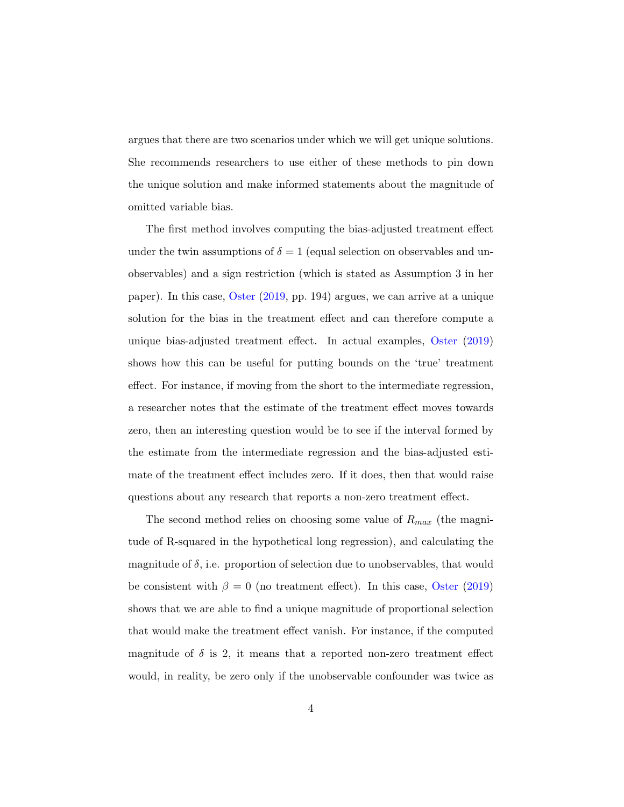argues that there are two scenarios under which we will get unique solutions. She recommends researchers to use either of these methods to pin down the unique solution and make informed statements about the magnitude of omitted variable bias.

The first method involves computing the bias-adjusted treatment effect under the twin assumptions of  $\delta = 1$  (equal selection on observables and unobservables) and a sign restriction (which is stated as Assumption 3 in her paper). In this case, [Oster](#page-22-0) [\(2019,](#page-22-0) pp. 194) argues, we can arrive at a unique solution for the bias in the treatment effect and can therefore compute a unique bias-adjusted treatment effect. In actual examples, [Oster](#page-22-0) [\(2019\)](#page-22-0) shows how this can be useful for putting bounds on the 'true' treatment effect. For instance, if moving from the short to the intermediate regression, a researcher notes that the estimate of the treatment effect moves towards zero, then an interesting question would be to see if the interval formed by the estimate from the intermediate regression and the bias-adjusted estimate of the treatment effect includes zero. If it does, then that would raise questions about any research that reports a non-zero treatment effect.

The second method relies on choosing some value of  $R_{max}$  (the magnitude of R-squared in the hypothetical long regression), and calculating the magnitude of  $\delta$ , i.e. proportion of selection due to unobservables, that would be consistent with  $\beta = 0$  (no treatment effect). In this case, [Oster](#page-22-0) [\(2019\)](#page-22-0) shows that we are able to find a unique magnitude of proportional selection that would make the treatment effect vanish. For instance, if the computed magnitude of  $\delta$  is 2, it means that a reported non-zero treatment effect would, in reality, be zero only if the unobservable confounder was twice as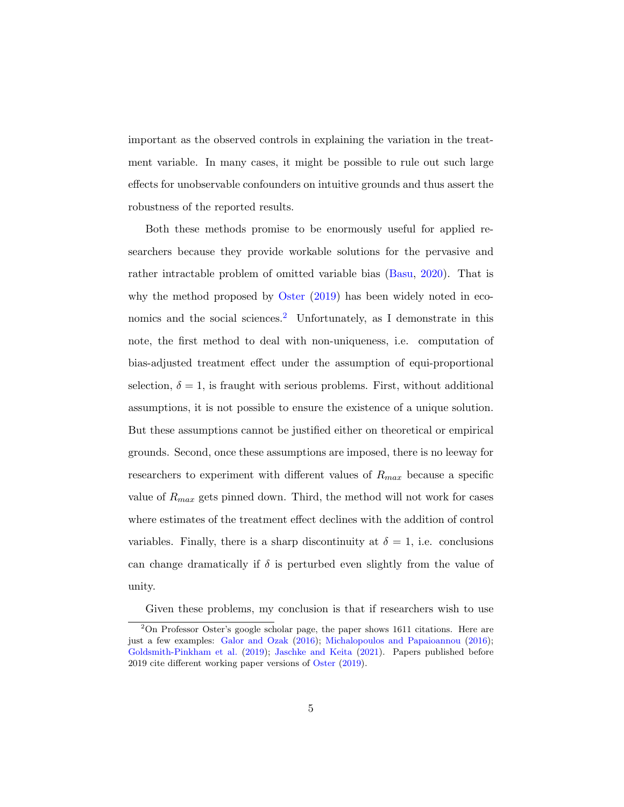important as the observed controls in explaining the variation in the treatment variable. In many cases, it might be possible to rule out such large effects for unobservable confounders on intuitive grounds and thus assert the robustness of the reported results.

Both these methods promise to be enormously useful for applied researchers because they provide workable solutions for the pervasive and rather intractable problem of omitted variable bias [\(Basu,](#page-21-1) [2020\)](#page-21-1). That is why the method proposed by [Oster](#page-22-0)  $(2019)$  has been widely noted in eco-nomics and the social sciences.<sup>[2](#page-1-0)</sup> Unfortunately, as I demonstrate in this note, the first method to deal with non-uniqueness, i.e. computation of bias-adjusted treatment effect under the assumption of equi-proportional selection,  $\delta = 1$ , is fraught with serious problems. First, without additional assumptions, it is not possible to ensure the existence of a unique solution. But these assumptions cannot be justified either on theoretical or empirical grounds. Second, once these assumptions are imposed, there is no leeway for researchers to experiment with different values of  $R_{max}$  because a specific value of  $R_{max}$  gets pinned down. Third, the method will not work for cases where estimates of the treatment effect declines with the addition of control variables. Finally, there is a sharp discontinuity at  $\delta = 1$ , i.e. conclusions can change dramatically if  $\delta$  is perturbed even slightly from the value of unity.

Given these problems, my conclusion is that if researchers wish to use

<sup>2</sup>On Professor Oster's google scholar page, the paper shows 1611 citations. Here are just a few examples: [Galor and Ozak](#page-21-2) [\(2016\)](#page-21-2); [Michalopoulos and Papaioannou](#page-22-1) [\(2016\)](#page-22-1); [Goldsmith-Pinkham et al.](#page-22-2) [\(2019\)](#page-22-2); [Jaschke and Keita](#page-22-3) [\(2021\)](#page-22-3). Papers published before 2019 cite different working paper versions of [Oster](#page-22-0) [\(2019\)](#page-22-0).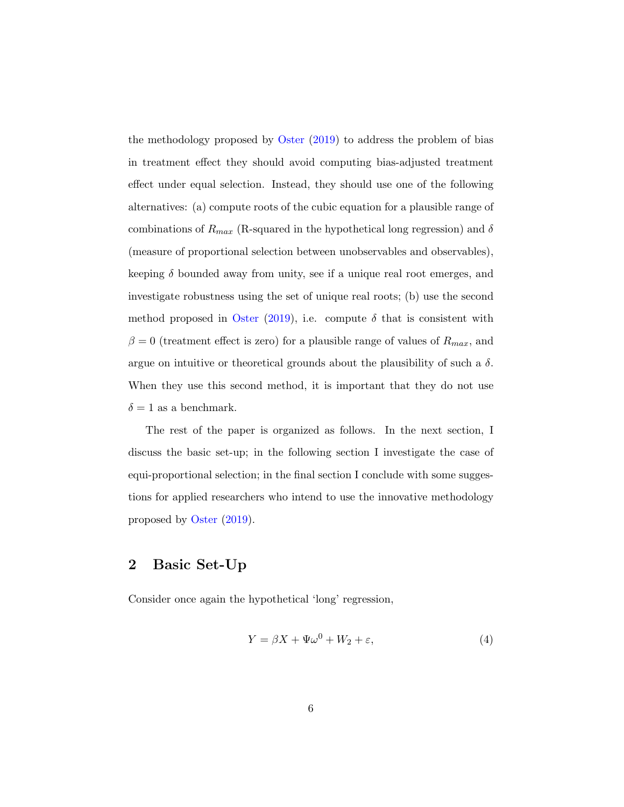the methodology proposed by [Oster](#page-22-0)  $(2019)$  to address the problem of bias in treatment effect they should avoid computing bias-adjusted treatment effect under equal selection. Instead, they should use one of the following alternatives: (a) compute roots of the cubic equation for a plausible range of combinations of  $R_{max}$  (R-squared in the hypothetical long regression) and  $\delta$ (measure of proportional selection between unobservables and observables), keeping  $\delta$  bounded away from unity, see if a unique real root emerges, and investigate robustness using the set of unique real roots; (b) use the second method proposed in [Oster](#page-22-0) [\(2019\)](#page-22-0), i.e. compute  $\delta$  that is consistent with  $\beta = 0$  (treatment effect is zero) for a plausible range of values of  $R_{max}$ , and argue on intuitive or theoretical grounds about the plausibility of such a  $\delta$ . When they use this second method, it is important that they do not use  $\delta = 1$  as a benchmark.

The rest of the paper is organized as follows. In the next section, I discuss the basic set-up; in the following section I investigate the case of equi-proportional selection; in the final section I conclude with some suggestions for applied researchers who intend to use the innovative methodology proposed by [Oster](#page-22-0) [\(2019\)](#page-22-0).

## 2 Basic Set-Up

Consider once again the hypothetical 'long' regression,

$$
Y = \beta X + \Psi \omega^0 + W_2 + \varepsilon,\tag{4}
$$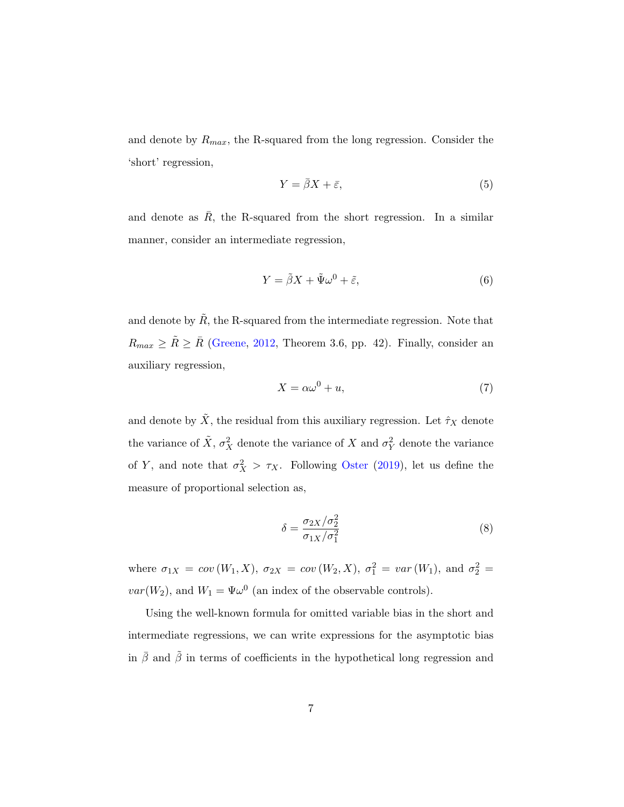and denote by  $R_{max}$ , the R-squared from the long regression. Consider the 'short' regression,

$$
Y = \bar{\beta}X + \bar{\varepsilon},\tag{5}
$$

and denote as  $\overline{R}$ , the R-squared from the short regression. In a similar manner, consider an intermediate regression,

$$
Y = \tilde{\beta}X + \tilde{\Psi}\omega^0 + \tilde{\varepsilon},\tag{6}
$$

and denote by  $\overline{R}$ , the R-squared from the intermediate regression. Note that  $R_{max} \geq \tilde{R} \geq \bar{R}$  [\(Greene,](#page-22-4) [2012,](#page-22-4) Theorem 3.6, pp. 42). Finally, consider an auxiliary regression,

$$
X = \alpha \omega^0 + u,\tag{7}
$$

and denote by  $\tilde{X}$ , the residual from this auxiliary regression. Let  $\hat{\tau}_X$  denote the variance of  $\tilde{X}$ ,  $\sigma_X^2$  denote the variance of X and  $\sigma_Y^2$  denote the variance of Y, and note that  $\sigma_X^2 > \tau_X$ . Following [Oster](#page-22-0) [\(2019\)](#page-22-0), let us define the measure of proportional selection as,

$$
\delta = \frac{\sigma_{2X}/\sigma_2^2}{\sigma_{1X}/\sigma_1^2} \tag{8}
$$

where  $\sigma_{1X} = cov(W_1, X)$ ,  $\sigma_{2X} = cov(W_2, X)$ ,  $\sigma_1^2 = var(W_1)$ , and  $\sigma_2^2 =$  $var(W_2)$ , and  $W_1 = \Psi \omega^0$  (an index of the observable controls).

Using the well-known formula for omitted variable bias in the short and intermediate regressions, we can write expressions for the asymptotic bias in  $\bar{\beta}$  and  $\tilde{\beta}$  in terms of coefficients in the hypothetical long regression and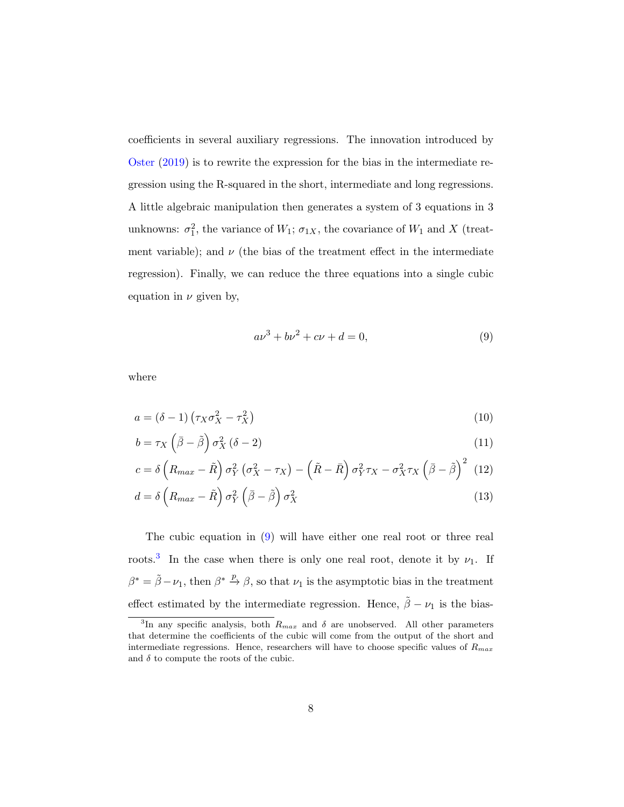coefficients in several auxiliary regressions. The innovation introduced by [Oster](#page-22-0) [\(2019\)](#page-22-0) is to rewrite the expression for the bias in the intermediate regression using the R-squared in the short, intermediate and long regressions. A little algebraic manipulation then generates a system of 3 equations in 3 unknowns:  $\sigma_1^2$ , the variance of  $W_1$ ;  $\sigma_{1X}$ , the covariance of  $W_1$  and X (treatment variable); and  $\nu$  (the bias of the treatment effect in the intermediate regression). Finally, we can reduce the three equations into a single cubic equation in  $\nu$  given by,

<span id="page-8-4"></span><span id="page-8-3"></span><span id="page-8-2"></span><span id="page-8-1"></span><span id="page-8-0"></span>
$$
a\nu^3 + b\nu^2 + c\nu + d = 0,\t\t(9)
$$

where

$$
a = (\delta - 1) \left( \tau_X \sigma_X^2 - \tau_X^2 \right) \tag{10}
$$

$$
b = \tau_X \left(\bar{\beta} - \tilde{\beta}\right) \sigma_X^2 \left(\delta - 2\right) \tag{11}
$$

$$
c = \delta \left( R_{max} - \tilde{R} \right) \sigma_Y^2 \left( \sigma_X^2 - \tau_X \right) - \left( \tilde{R} - \bar{R} \right) \sigma_Y^2 \tau_X - \sigma_X^2 \tau_X \left( \bar{\beta} - \tilde{\beta} \right)^2 \tag{12}
$$

$$
d = \delta \left( R_{max} - \tilde{R} \right) \sigma_Y^2 \left( \bar{\beta} - \tilde{\beta} \right) \sigma_X^2 \tag{13}
$$

The cubic equation in [\(9\)](#page-8-0) will have either one real root or three real roots.<sup>[3](#page-1-0)</sup> In the case when there is only one real root, denote it by  $\nu_1$ . If  $\beta^* = \tilde{\beta} - \nu_1$ , then  $\beta^* \stackrel{p}{\rightarrow} \beta$ , so that  $\nu_1$  is the asymptotic bias in the treatment effect estimated by the intermediate regression. Hence,  $\tilde{\beta} - \nu_1$  is the bias-

<sup>&</sup>lt;sup>3</sup>In any specific analysis, both  $R_{max}$  and  $\delta$  are unobserved. All other parameters that determine the coefficients of the cubic will come from the output of the short and intermediate regressions. Hence, researchers will have to choose specific values of  $R_{max}$ and  $\delta$  to compute the roots of the cubic.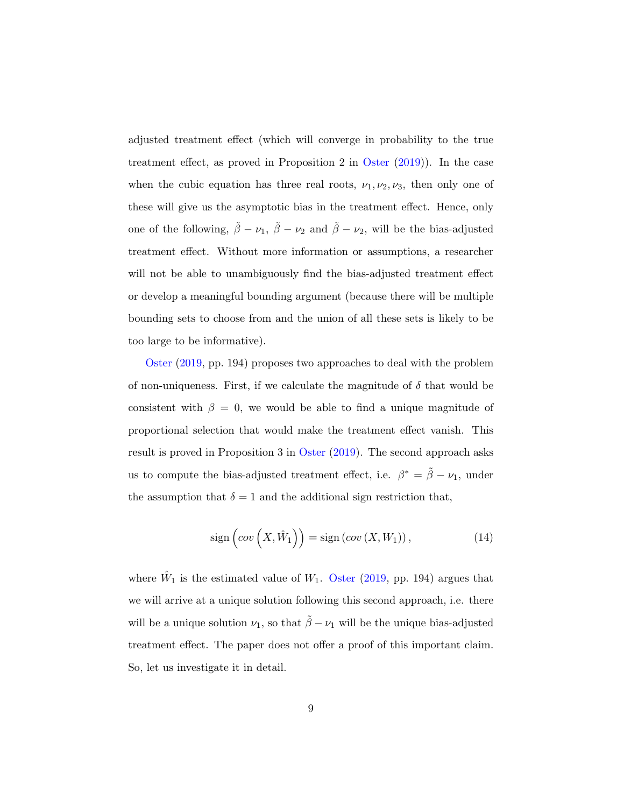adjusted treatment effect (which will converge in probability to the true treatment effect, as proved in Proposition 2 in [Oster](#page-22-0) [\(2019\)](#page-22-0)). In the case when the cubic equation has three real roots,  $\nu_1, \nu_2, \nu_3$ , then only one of these will give us the asymptotic bias in the treatment effect. Hence, only one of the following,  $\tilde{\beta} - \nu_1$ ,  $\tilde{\beta} - \nu_2$  and  $\tilde{\beta} - \nu_2$ , will be the bias-adjusted treatment effect. Without more information or assumptions, a researcher will not be able to unambiguously find the bias-adjusted treatment effect or develop a meaningful bounding argument (because there will be multiple bounding sets to choose from and the union of all these sets is likely to be too large to be informative).

[Oster](#page-22-0) [\(2019,](#page-22-0) pp. 194) proposes two approaches to deal with the problem of non-uniqueness. First, if we calculate the magnitude of  $\delta$  that would be consistent with  $\beta = 0$ , we would be able to find a unique magnitude of proportional selection that would make the treatment effect vanish. This result is proved in Proposition 3 in [Oster](#page-22-0) [\(2019\)](#page-22-0). The second approach asks us to compute the bias-adjusted treatment effect, i.e.  $\beta^* = \tilde{\beta} - \nu_1$ , under the assumption that  $\delta = 1$  and the additional sign restriction that,

<span id="page-9-0"></span>
$$
sign\left( cov\left(X, \hat{W}_1\right)\right) = sign\left( cov\left(X, W_1\right)\right),\tag{14}
$$

where  $\hat{W}_1$  is the estimated value of  $W_1$ . [Oster](#page-22-0) [\(2019,](#page-22-0) pp. 194) argues that we will arrive at a unique solution following this second approach, i.e. there will be a unique solution  $\nu_1$ , so that  $\tilde{\beta} - \nu_1$  will be the unique bias-adjusted treatment effect. The paper does not offer a proof of this important claim. So, let us investigate it in detail.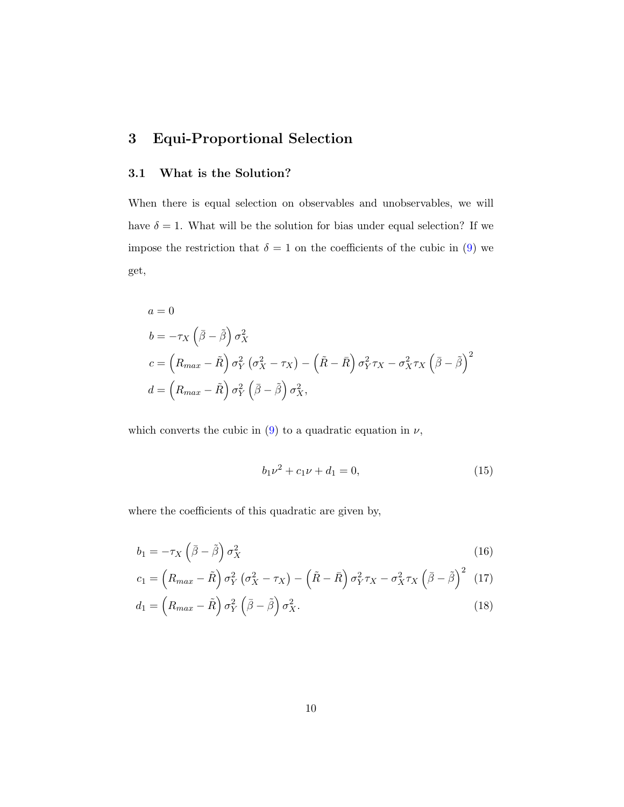# 3 Equi-Proportional Selection

#### 3.1 What is the Solution?

When there is equal selection on observables and unobservables, we will have  $\delta = 1$ . What will be the solution for bias under equal selection? If we impose the restriction that  $\delta = 1$  on the coefficients of the cubic in [\(9\)](#page-8-0) we get,

$$
a = 0
$$
  
\n
$$
b = -\tau_X \left(\bar{\beta} - \tilde{\beta}\right) \sigma_X^2
$$
  
\n
$$
c = \left(R_{max} - \tilde{R}\right) \sigma_Y^2 \left(\sigma_X^2 - \tau_X\right) - \left(\tilde{R} - \bar{R}\right) \sigma_Y^2 \tau_X - \sigma_X^2 \tau_X \left(\bar{\beta} - \tilde{\beta}\right)^2
$$
  
\n
$$
d = \left(R_{max} - \tilde{R}\right) \sigma_Y^2 \left(\bar{\beta} - \tilde{\beta}\right) \sigma_X^2,
$$

which converts the cubic in  $(9)$  to a quadratic equation in  $\nu$ ,

<span id="page-10-3"></span><span id="page-10-2"></span><span id="page-10-1"></span><span id="page-10-0"></span>
$$
b_1 \nu^2 + c_1 \nu + d_1 = 0,\t\t(15)
$$

where the coefficients of this quadratic are given by,

$$
b_1 = -\tau_X \left(\bar{\beta} - \tilde{\beta}\right) \sigma_X^2 \tag{16}
$$

$$
c_1 = \left(R_{max} - \tilde{R}\right)\sigma_Y^2\left(\sigma_X^2 - \tau_X\right) - \left(\tilde{R} - \bar{R}\right)\sigma_Y^2\tau_X - \sigma_X^2\tau_X\left(\bar{\beta} - \tilde{\beta}\right)^2\tag{17}
$$

$$
d_1 = \left(R_{max} - \tilde{R}\right)\sigma_Y^2 \left(\bar{\beta} - \tilde{\beta}\right)\sigma_X^2.
$$
\n(18)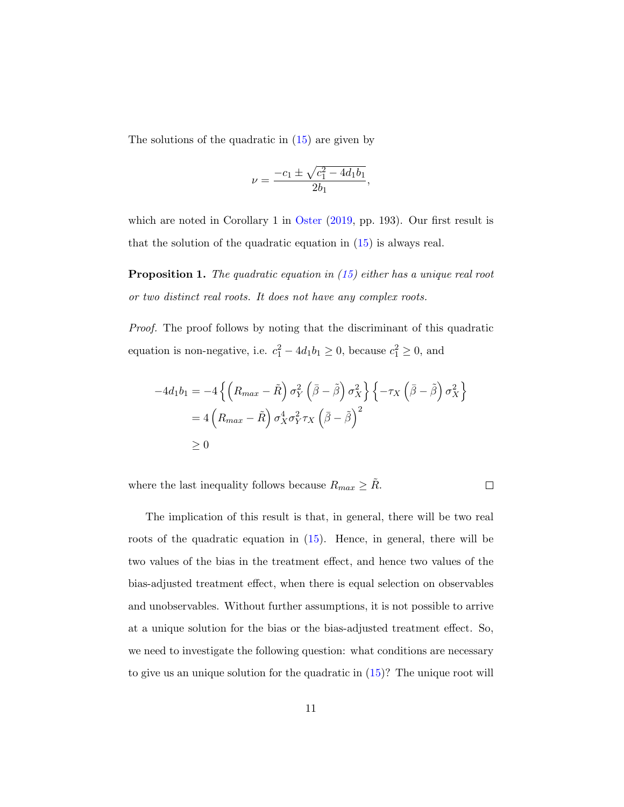The solutions of the quadratic in [\(15\)](#page-10-0) are given by

$$
\nu = \frac{-c_1 \pm \sqrt{c_1^2 - 4d_1b_1}}{2b_1},
$$

which are noted in Corollary 1 in [Oster](#page-22-0) [\(2019,](#page-22-0) pp. 193). Our first result is that the solution of the quadratic equation in [\(15\)](#page-10-0) is always real.

<span id="page-11-0"></span>**Proposition 1.** The quadratic equation in  $(15)$  either has a unique real root or two distinct real roots. It does not have any complex roots.

Proof. The proof follows by noting that the discriminant of this quadratic equation is non-negative, i.e.  $c_1^2 - 4d_1b_1 \ge 0$ , because  $c_1^2 \ge 0$ , and

$$
-4d_1b_1 = -4\left\{ \left(R_{max} - \tilde{R}\right)\sigma_Y^2 \left(\bar{\beta} - \tilde{\beta}\right)\sigma_X^2 \right\} \left\{-\tau_X \left(\bar{\beta} - \tilde{\beta}\right)\sigma_X^2 \right\}
$$
  
= 4\left(R\_{max} - \tilde{R}\right)\sigma\_X^4 \sigma\_Y^2 \tau\_X \left(\bar{\beta} - \tilde{\beta}\right)^2  
\ge 0

where the last inequality follows because  $R_{max} \geq \tilde{R}$ .

 $\Box$ 

The implication of this result is that, in general, there will be two real roots of the quadratic equation in [\(15\)](#page-10-0). Hence, in general, there will be two values of the bias in the treatment effect, and hence two values of the bias-adjusted treatment effect, when there is equal selection on observables and unobservables. Without further assumptions, it is not possible to arrive at a unique solution for the bias or the bias-adjusted treatment effect. So, we need to investigate the following question: what conditions are necessary to give us an unique solution for the quadratic in [\(15\)](#page-10-0)? The unique root will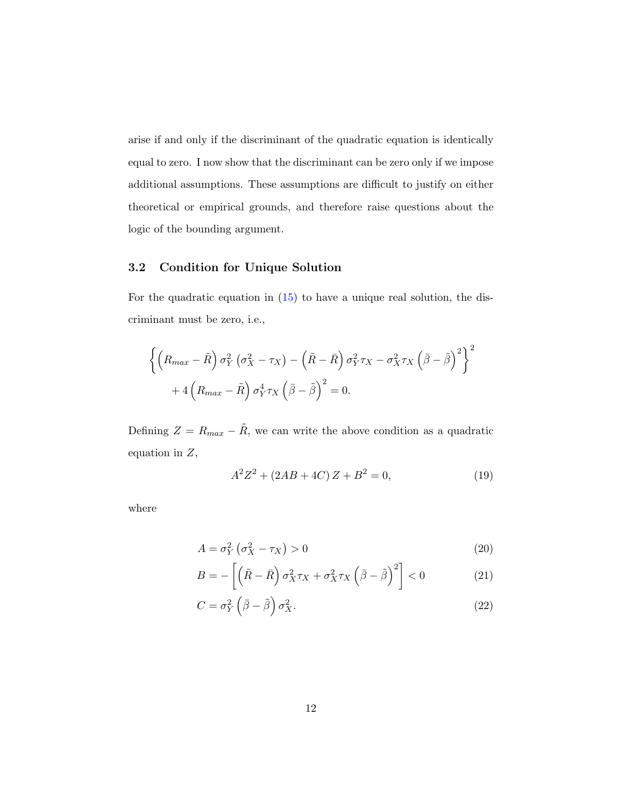arise if and only if the discriminant of the quadratic equation is identically equal to zero. I now show that the discriminant can be zero only if we impose additional assumptions. These assumptions are difficult to justify on either theoretical or empirical grounds, and therefore raise questions about the logic of the bounding argument.

#### 3.2 Condition for Unique Solution

For the quadratic equation in  $(15)$  to have a unique real solution, the discriminant must be zero, i.e.,

$$
\left\{ \left( R_{max} - \tilde{R} \right) \sigma_Y^2 \left( \sigma_X^2 - \tau_X \right) - \left( \tilde{R} - \bar{R} \right) \sigma_Y^2 \tau_X - \sigma_X^2 \tau_X \left( \bar{\beta} - \tilde{\beta} \right)^2 \right\}^2 + 4 \left( R_{max} - \tilde{R} \right) \sigma_Y^4 \tau_X \left( \bar{\beta} - \tilde{\beta} \right)^2 = 0.
$$

Defining  $Z = R_{max} - \tilde{R}$ , we can write the above condition as a quadratic equation in Z,

<span id="page-12-0"></span>
$$
A^2 Z^2 + (2AB + 4C) Z + B^2 = 0,\t(19)
$$

where

$$
A = \sigma_Y^2 \left( \sigma_X^2 - \tau_X \right) > 0 \tag{20}
$$

$$
B = -\left[\left(\tilde{R} - \bar{R}\right)\sigma_X^2 \tau_X + \sigma_X^2 \tau_X \left(\bar{\beta} - \tilde{\beta}\right)^2\right] < 0 \tag{21}
$$

$$
C = \sigma_Y^2 \left( \bar{\beta} - \tilde{\beta} \right) \sigma_X^2. \tag{22}
$$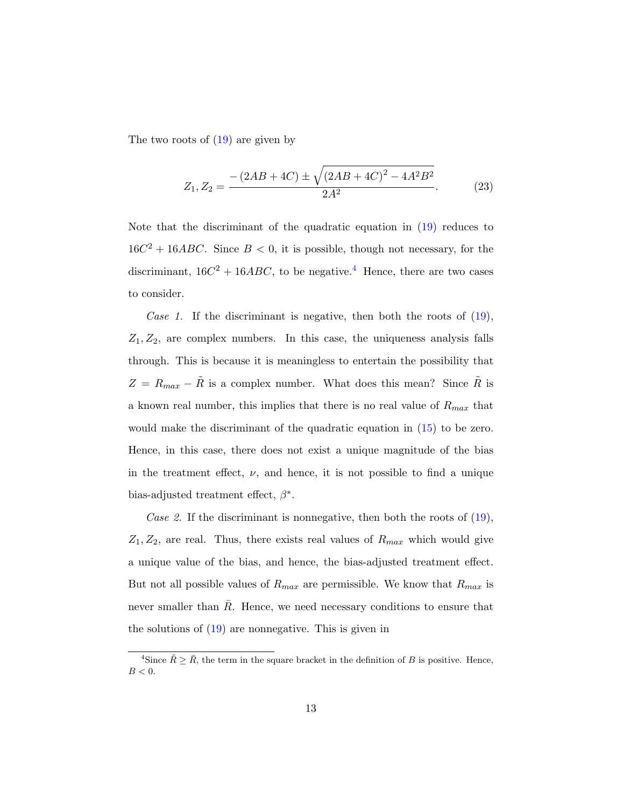The two roots of  $(19)$  are given by

<span id="page-13-0"></span>
$$
Z_1, Z_2 = \frac{-\left(2AB + 4C\right) \pm \sqrt{\left(2AB + 4C\right)^2 - 4A^2B^2}}{2A^2}.
$$
 (23)

Note that the discriminant of the quadratic equation in [\(19\)](#page-12-0) reduces to  $16C^2 + 16ABC$ . Since  $B < 0$ , it is possible, though not necessary, for the discriminant,  $16C^2 + 16ABC$ , to be negative.<sup>[4](#page-1-0)</sup> Hence, there are two cases to consider.

Case 1. If the discriminant is negative, then both the roots of  $(19)$ ,  $Z_1, Z_2$ , are complex numbers. In this case, the uniqueness analysis falls through. This is because it is meaningless to entertain the possibility that  $Z = R_{max} - \tilde{R}$  is a complex number. What does this mean? Since  $\tilde{R}$  is a known real number, this implies that there is no real value of  $R_{max}$  that would make the discriminant of the quadratic equation in [\(15\)](#page-10-0) to be zero. Hence, in this case, there does not exist a unique magnitude of the bias in the treatment effect,  $\nu$ , and hence, it is not possible to find a unique bias-adjusted treatment effect,  $\beta^*$ .

Case 2. If the discriminant is nonnegative, then both the roots of  $(19)$ ,  $Z_1, Z_2$ , are real. Thus, there exists real values of  $R_{max}$  which would give a unique value of the bias, and hence, the bias-adjusted treatment effect. But not all possible values of  $R_{max}$  are permissible. We know that  $R_{max}$  is never smaller than  $\overline{R}$ . Hence, we need necessary conditions to ensure that the solutions of [\(19\)](#page-12-0) are nonnegative. This is given in

<sup>&</sup>lt;sup>4</sup>Since  $\tilde{R} \geq \bar{R}$ , the term in the square bracket in the definition of B is positive. Hence,  $B < 0$ .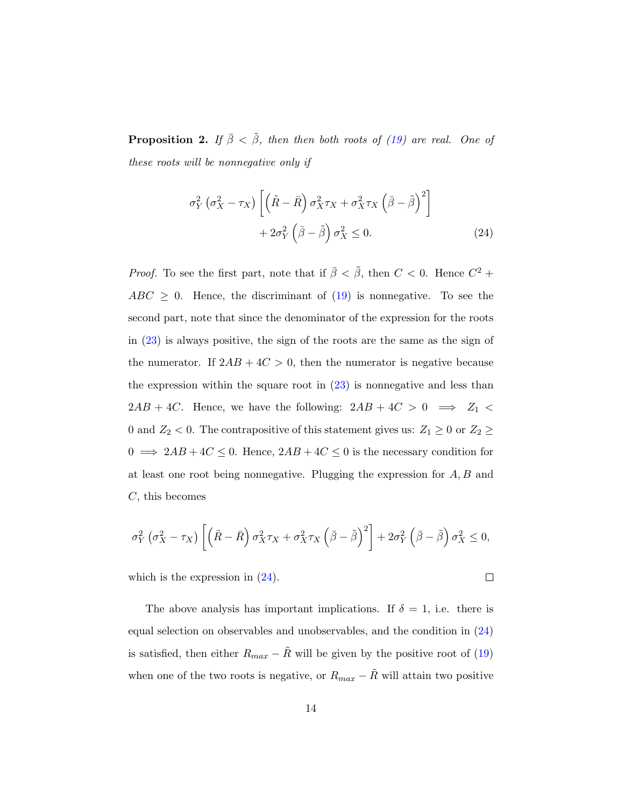<span id="page-14-1"></span>**Proposition 2.** If  $\bar{\beta} < \tilde{\beta}$ , then then both roots of [\(19\)](#page-12-0) are real. One of these roots will be nonnegative only if

<span id="page-14-0"></span>
$$
\sigma_Y^2 \left( \sigma_X^2 - \tau_X \right) \left[ \left( \tilde{R} - \bar{R} \right) \sigma_X^2 \tau_X + \sigma_X^2 \tau_X \left( \bar{\beta} - \tilde{\beta} \right)^2 \right] + 2 \sigma_Y^2 \left( \bar{\beta} - \tilde{\beta} \right) \sigma_X^2 \le 0.
$$
\n(24)

*Proof.* To see the first part, note that if  $\bar{\beta} < \tilde{\beta}$ , then  $C < 0$ . Hence  $C^2$  +  $ABC \geq 0$ . Hence, the discriminant of [\(19\)](#page-12-0) is nonnegative. To see the second part, note that since the denominator of the expression for the roots in [\(23\)](#page-13-0) is always positive, the sign of the roots are the same as the sign of the numerator. If  $2AB + 4C > 0$ , then the numerator is negative because the expression within the square root in  $(23)$  is nonnegative and less than  $2AB + 4C$ . Hence, we have the following:  $2AB + 4C > 0 \implies Z_1 <$ 0 and  $Z_2$  < 0. The contrapositive of this statement gives us:  $Z_1 \ge 0$  or  $Z_2 \ge$  $0 \implies 2AB + 4C \leq 0$ . Hence,  $2AB + 4C \leq 0$  is the necessary condition for at least one root being nonnegative. Plugging the expression for  $A, B$  and C, this becomes

$$
\sigma_Y^2 \left( \sigma_X^2 - \tau_X \right) \left[ \left( \tilde{R} - \bar{R} \right) \sigma_X^2 \tau_X + \sigma_X^2 \tau_X \left( \bar{\beta} - \tilde{\beta} \right)^2 \right] + 2 \sigma_Y^2 \left( \bar{\beta} - \tilde{\beta} \right) \sigma_X^2 \le 0,
$$

which is the expression in  $(24)$ .

 $\Box$ 

The above analysis has important implications. If  $\delta = 1$ , i.e. there is equal selection on observables and unobservables, and the condition in [\(24\)](#page-14-0) is satisfied, then either  $R_{max} - \tilde{R}$  will be given by the positive root of [\(19\)](#page-12-0) when one of the two roots is negative, or  $R_{max} - \tilde{R}$  will attain two positive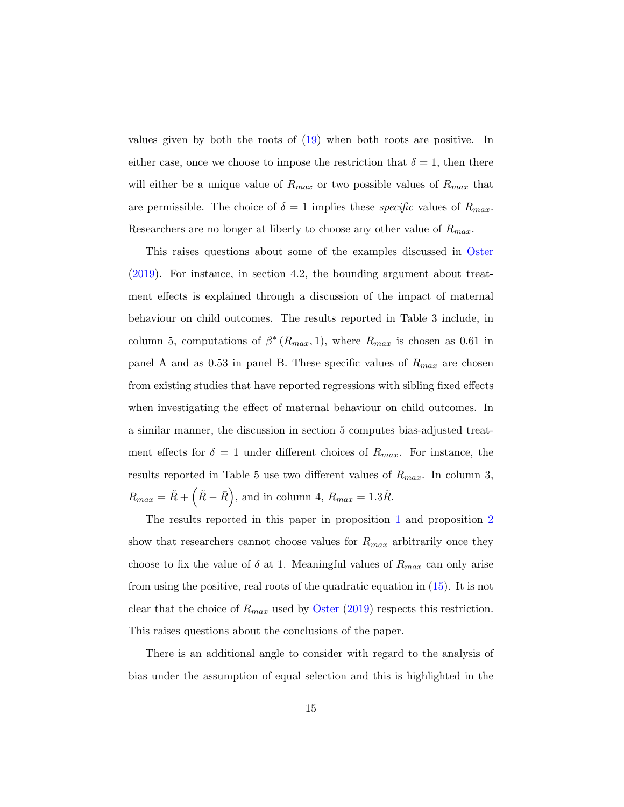values given by both the roots of [\(19\)](#page-12-0) when both roots are positive. In either case, once we choose to impose the restriction that  $\delta = 1$ , then there will either be a unique value of  $R_{max}$  or two possible values of  $R_{max}$  that are permissible. The choice of  $\delta = 1$  implies these *specific* values of  $R_{max}$ . Researchers are no longer at liberty to choose any other value of  $R_{max}$ .

This raises questions about some of the examples discussed in [Oster](#page-22-0) [\(2019\)](#page-22-0). For instance, in section 4.2, the bounding argument about treatment effects is explained through a discussion of the impact of maternal behaviour on child outcomes. The results reported in Table 3 include, in column 5, computations of  $\beta^*(R_{max}, 1)$ , where  $R_{max}$  is chosen as 0.61 in panel A and as 0.53 in panel B. These specific values of  $R_{max}$  are chosen from existing studies that have reported regressions with sibling fixed effects when investigating the effect of maternal behaviour on child outcomes. In a similar manner, the discussion in section 5 computes bias-adjusted treatment effects for  $\delta = 1$  under different choices of  $R_{max}$ . For instance, the results reported in Table 5 use two different values of  $R_{max}$ . In column 3,  $R_{max} = \tilde{R} + (\tilde{R} - \bar{R})$ , and in column 4,  $R_{max} = 1.3\tilde{R}$ .

The results reported in this paper in proposition [1](#page-11-0) and proposition [2](#page-14-1) show that researchers cannot choose values for  $R_{max}$  arbitrarily once they choose to fix the value of  $\delta$  at 1. Meaningful values of  $R_{max}$  can only arise from using the positive, real roots of the quadratic equation in [\(15\)](#page-10-0). It is not clear that the choice of  $R_{max}$  used by [Oster](#page-22-0) [\(2019\)](#page-22-0) respects this restriction. This raises questions about the conclusions of the paper.

There is an additional angle to consider with regard to the analysis of bias under the assumption of equal selection and this is highlighted in the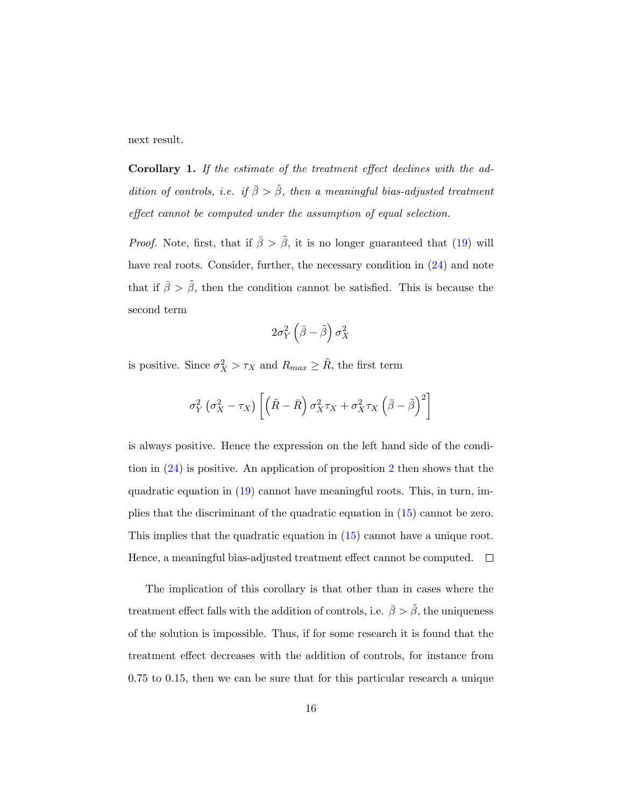next result.

<span id="page-16-0"></span>Corollary 1. If the estimate of the treatment effect declines with the addition of controls, i.e. if  $\bar{\beta} > \tilde{\beta}$ , then a meaningful bias-adjusted treatment effect cannot be computed under the assumption of equal selection.

*Proof.* Note, first, that if  $\bar{\beta} > \tilde{\beta}$ , it is no longer guaranteed that [\(19\)](#page-12-0) will have real roots. Consider, further, the necessary condition in  $(24)$  and note that if  $\bar{\beta} > \tilde{\beta}$ , then the condition cannot be satisfied. This is because the second term

$$
2\sigma_Y^2\left(\bar{\beta}-\tilde{\beta}\right)\sigma_X^2
$$

is positive. Since  $\sigma_X^2 > \tau_X$  and  $R_{max} \geq \tilde{R}$ , the first term

$$
\sigma_Y^2 \left(\sigma_X^2 - \tau_X\right) \left[ \left( \tilde{R} - \bar{R} \right) \sigma_X^2 \tau_X + \sigma_X^2 \tau_X \left( \bar{\beta} - \tilde{\beta} \right)^2 \right]
$$

is always positive. Hence the expression on the left hand side of the condition in [\(24\)](#page-14-0) is positive. An application of proposition [2](#page-14-1) then shows that the quadratic equation in [\(19\)](#page-12-0) cannot have meaningful roots. This, in turn, implies that the discriminant of the quadratic equation in [\(15\)](#page-10-0) cannot be zero. This implies that the quadratic equation in [\(15\)](#page-10-0) cannot have a unique root. Hence, a meaningful bias-adjusted treatment effect cannot be computed.  $\Box$ 

The implication of this corollary is that other than in cases where the treatment effect falls with the addition of controls, i.e.  $\bar{\beta} > \tilde{\beta}$ , the uniqueness of the solution is impossible. Thus, if for some research it is found that the treatment effect decreases with the addition of controls, for instance from 0.75 to 0.15, then we can be sure that for this particular research a unique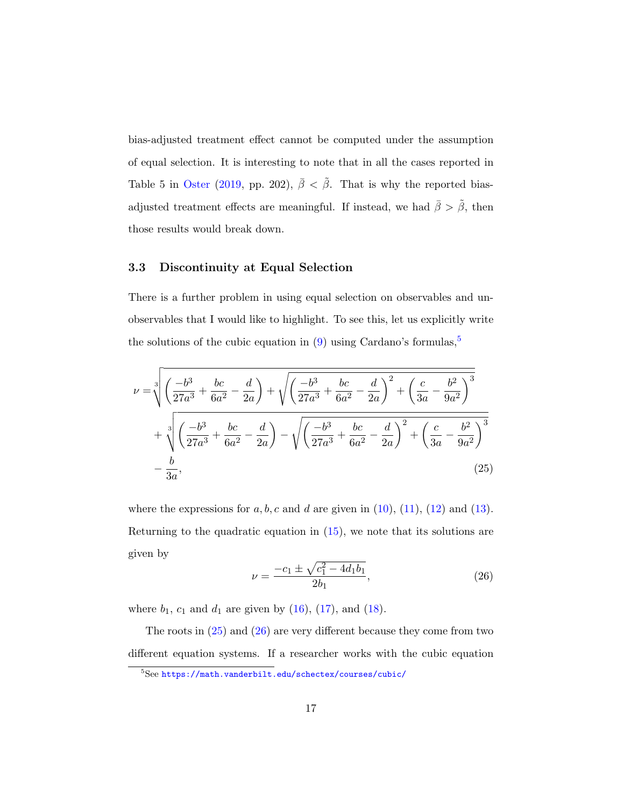bias-adjusted treatment effect cannot be computed under the assumption of equal selection. It is interesting to note that in all the cases reported in Table 5 in [Oster](#page-22-0) [\(2019,](#page-22-0) pp. 202),  $\bar{\beta} < \tilde{\beta}$ . That is why the reported biasadjusted treatment effects are meaningful. If instead, we had  $\bar{\beta} > \tilde{\beta}$ , then those results would break down.

#### 3.3 Discontinuity at Equal Selection

There is a further problem in using equal selection on observables and unobservables that I would like to highlight. To see this, let us explicitly write the solutions of the cubic equation in  $(9)$  using Cardano's formulas,<sup>[5](#page-1-0)</sup>

$$
\nu = \sqrt[3]{\left(\frac{-b^3}{27a^3} + \frac{bc}{6a^2} - \frac{d}{2a}\right) + \sqrt{\left(\frac{-b^3}{27a^3} + \frac{bc}{6a^2} - \frac{d}{2a}\right)^2 + \left(\frac{c}{3a} - \frac{b^2}{9a^2}\right)^3} + \sqrt[3]{\left(\frac{-b^3}{27a^3} + \frac{bc}{6a^2} - \frac{d}{2a}\right) - \sqrt{\left(\frac{-b^3}{27a^3} + \frac{bc}{6a^2} - \frac{d}{2a}\right)^2 + \left(\frac{c}{3a} - \frac{b^2}{9a^2}\right)^3} - \frac{b}{3a},\tag{25}
$$

where the expressions for  $a, b, c$  and  $d$  are given in [\(10\)](#page-8-1), [\(11\)](#page-8-2), [\(12\)](#page-8-3) and [\(13\)](#page-8-4). Returning to the quadratic equation in  $(15)$ , we note that its solutions are given by

<span id="page-17-1"></span><span id="page-17-0"></span>
$$
\nu = \frac{-c_1 \pm \sqrt{c_1^2 - 4d_1b_1}}{2b_1},\tag{26}
$$

where  $b_1$ ,  $c_1$  and  $d_1$  are given by [\(16\)](#page-10-1), [\(17\)](#page-10-2), and [\(18\)](#page-10-3).

The roots in [\(25\)](#page-17-0) and [\(26\)](#page-17-1) are very different because they come from two different equation systems. If a researcher works with the cubic equation

<sup>5</sup>See <https://math.vanderbilt.edu/schectex/courses/cubic/>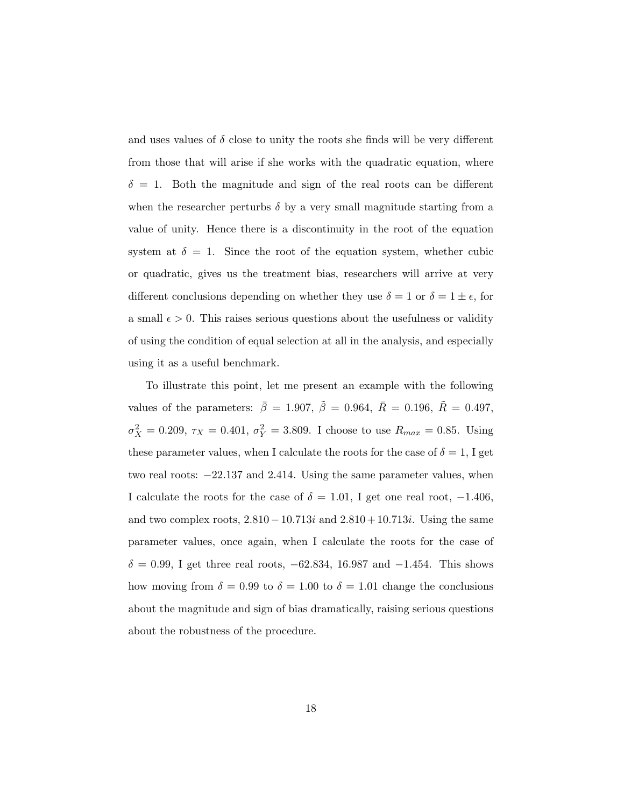and uses values of  $\delta$  close to unity the roots she finds will be very different from those that will arise if she works with the quadratic equation, where  $\delta = 1$ . Both the magnitude and sign of the real roots can be different when the researcher perturbs  $\delta$  by a very small magnitude starting from a value of unity. Hence there is a discontinuity in the root of the equation system at  $\delta = 1$ . Since the root of the equation system, whether cubic or quadratic, gives us the treatment bias, researchers will arrive at very different conclusions depending on whether they use  $\delta = 1$  or  $\delta = 1 \pm \epsilon$ , for a small  $\epsilon > 0$ . This raises serious questions about the usefulness or validity of using the condition of equal selection at all in the analysis, and especially using it as a useful benchmark.

To illustrate this point, let me present an example with the following values of the parameters:  $\bar{\beta} = 1.907, \ \tilde{\beta} = 0.964, \ \bar{R} = 0.196, \ \tilde{R} = 0.497,$  $\sigma_X^2 = 0.209, \tau_X = 0.401, \sigma_Y^2 = 3.809.$  I choose to use  $R_{max} = 0.85$ . Using these parameter values, when I calculate the roots for the case of  $\delta = 1$ , I get two real roots: −22.137 and 2.414. Using the same parameter values, when I calculate the roots for the case of  $\delta = 1.01$ , I get one real root,  $-1.406$ , and two complex roots,  $2.810 - 10.713i$  and  $2.810 + 10.713i$ . Using the same parameter values, once again, when I calculate the roots for the case of  $\delta = 0.99$ , I get three real roots,  $-62.834$ , 16.987 and  $-1.454$ . This shows how moving from  $\delta = 0.99$  to  $\delta = 1.00$  to  $\delta = 1.01$  change the conclusions about the magnitude and sign of bias dramatically, raising serious questions about the robustness of the procedure.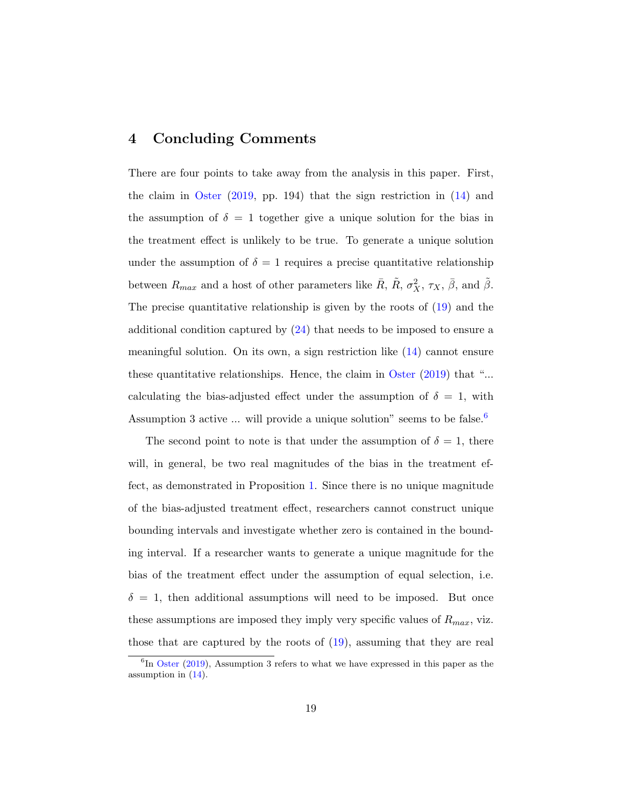### 4 Concluding Comments

There are four points to take away from the analysis in this paper. First, the claim in [Oster](#page-22-0) [\(2019,](#page-22-0) pp. 194) that the sign restriction in [\(14\)](#page-9-0) and the assumption of  $\delta = 1$  together give a unique solution for the bias in the treatment effect is unlikely to be true. To generate a unique solution under the assumption of  $\delta = 1$  requires a precise quantitative relationship between  $R_{max}$  and a host of other parameters like  $\bar{R}$ ,  $\tilde{R}$ ,  $\sigma_X^2$ ,  $\tau_X$ ,  $\bar{\beta}$ , and  $\tilde{\beta}$ . The precise quantitative relationship is given by the roots of [\(19\)](#page-12-0) and the additional condition captured by  $(24)$  that needs to be imposed to ensure a meaningful solution. On its own, a sign restriction like [\(14\)](#page-9-0) cannot ensure these quantitative relationships. Hence, the claim in [Oster](#page-22-0) [\(2019\)](#page-22-0) that "... calculating the bias-adjusted effect under the assumption of  $\delta = 1$ , with Assumption 3 active  $\ldots$  will provide a unique solution" seems to be false.<sup>[6](#page-1-0)</sup>

The second point to note is that under the assumption of  $\delta = 1$ , there will, in general, be two real magnitudes of the bias in the treatment effect, as demonstrated in Proposition [1.](#page-11-0) Since there is no unique magnitude of the bias-adjusted treatment effect, researchers cannot construct unique bounding intervals and investigate whether zero is contained in the bounding interval. If a researcher wants to generate a unique magnitude for the bias of the treatment effect under the assumption of equal selection, i.e.  $\delta = 1$ , then additional assumptions will need to be imposed. But once these assumptions are imposed they imply very specific values of  $R_{max}$ , viz. those that are captured by the roots of [\(19\)](#page-12-0), assuming that they are real

 ${}^{6}$ In [Oster](#page-22-0) [\(2019\)](#page-22-0), Assumption 3 refers to what we have expressed in this paper as the assumption in  $(14)$ .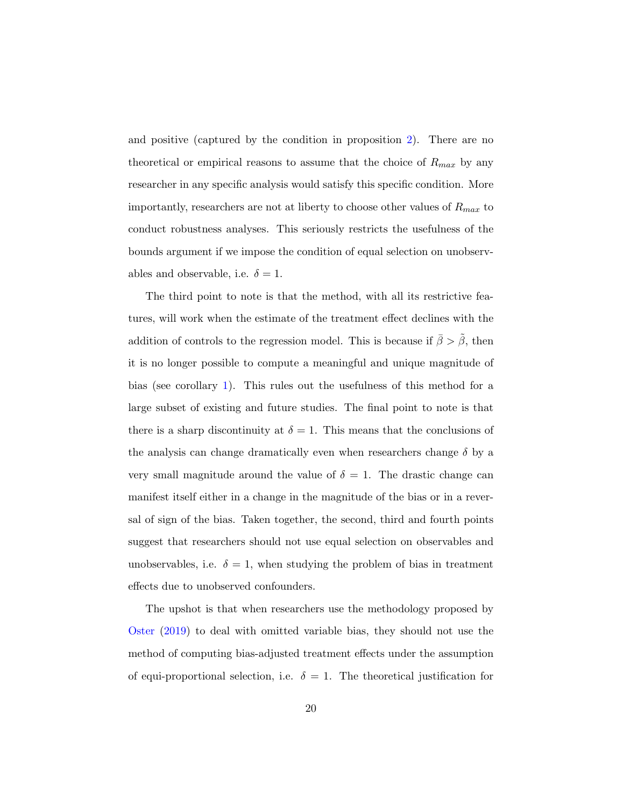and positive (captured by the condition in proposition [2\)](#page-14-1). There are no theoretical or empirical reasons to assume that the choice of  $R_{max}$  by any researcher in any specific analysis would satisfy this specific condition. More importantly, researchers are not at liberty to choose other values of  $R_{max}$  to conduct robustness analyses. This seriously restricts the usefulness of the bounds argument if we impose the condition of equal selection on unobservables and observable, i.e.  $\delta = 1$ .

The third point to note is that the method, with all its restrictive features, will work when the estimate of the treatment effect declines with the addition of controls to the regression model. This is because if  $\bar{\beta} > \tilde{\beta}$ , then it is no longer possible to compute a meaningful and unique magnitude of bias (see corollary [1\)](#page-16-0). This rules out the usefulness of this method for a large subset of existing and future studies. The final point to note is that there is a sharp discontinuity at  $\delta = 1$ . This means that the conclusions of the analysis can change dramatically even when researchers change  $\delta$  by a very small magnitude around the value of  $\delta = 1$ . The drastic change can manifest itself either in a change in the magnitude of the bias or in a reversal of sign of the bias. Taken together, the second, third and fourth points suggest that researchers should not use equal selection on observables and unobservables, i.e.  $\delta = 1$ , when studying the problem of bias in treatment effects due to unobserved confounders.

The upshot is that when researchers use the methodology proposed by [Oster](#page-22-0) [\(2019\)](#page-22-0) to deal with omitted variable bias, they should not use the method of computing bias-adjusted treatment effects under the assumption of equi-proportional selection, i.e.  $\delta = 1$ . The theoretical justification for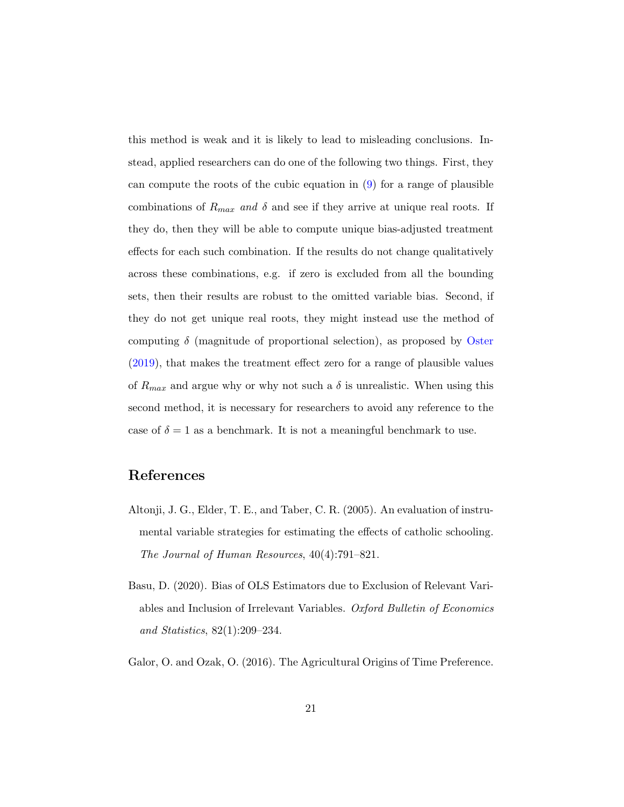this method is weak and it is likely to lead to misleading conclusions. Instead, applied researchers can do one of the following two things. First, they can compute the roots of the cubic equation in  $(9)$  for a range of plausible combinations of  $R_{max}$  and  $\delta$  and see if they arrive at unique real roots. If they do, then they will be able to compute unique bias-adjusted treatment effects for each such combination. If the results do not change qualitatively across these combinations, e.g. if zero is excluded from all the bounding sets, then their results are robust to the omitted variable bias. Second, if they do not get unique real roots, they might instead use the method of computing  $\delta$  (magnitude of proportional selection), as proposed by [Oster](#page-22-0) [\(2019\)](#page-22-0), that makes the treatment effect zero for a range of plausible values of  $R_{max}$  and argue why or why not such a  $\delta$  is unrealistic. When using this second method, it is necessary for researchers to avoid any reference to the case of  $\delta = 1$  as a benchmark. It is not a meaningful benchmark to use.

# References

- <span id="page-21-0"></span>Altonji, J. G., Elder, T. E., and Taber, C. R. (2005). An evaluation of instrumental variable strategies for estimating the effects of catholic schooling. The Journal of Human Resources, 40(4):791–821.
- <span id="page-21-1"></span>Basu, D. (2020). Bias of OLS Estimators due to Exclusion of Relevant Variables and Inclusion of Irrelevant Variables. Oxford Bulletin of Economics and Statistics, 82(1):209–234.
- <span id="page-21-2"></span>Galor, O. and Ozak, O. (2016). The Agricultural Origins of Time Preference.